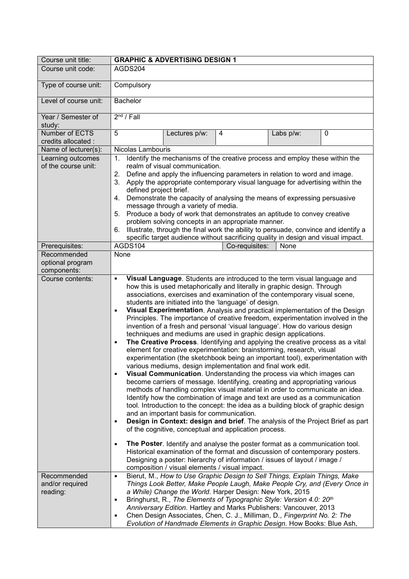| Course unit title:                             | <b>GRAPHIC &amp; ADVERTISING DESIGN 1</b>                                                                                                                                                                                                                                                                                                                                                                                                                                                                                                                                                                                                                                                                                                                                                                                                                                                                                                                                                                                                                                                                                                                                                                                                                                                                                                                                                                                                                                                                                                                                                                                                                                                                                                                                                                                                                             |
|------------------------------------------------|-----------------------------------------------------------------------------------------------------------------------------------------------------------------------------------------------------------------------------------------------------------------------------------------------------------------------------------------------------------------------------------------------------------------------------------------------------------------------------------------------------------------------------------------------------------------------------------------------------------------------------------------------------------------------------------------------------------------------------------------------------------------------------------------------------------------------------------------------------------------------------------------------------------------------------------------------------------------------------------------------------------------------------------------------------------------------------------------------------------------------------------------------------------------------------------------------------------------------------------------------------------------------------------------------------------------------------------------------------------------------------------------------------------------------------------------------------------------------------------------------------------------------------------------------------------------------------------------------------------------------------------------------------------------------------------------------------------------------------------------------------------------------------------------------------------------------------------------------------------------------|
| Course unit code:                              | AGDS204                                                                                                                                                                                                                                                                                                                                                                                                                                                                                                                                                                                                                                                                                                                                                                                                                                                                                                                                                                                                                                                                                                                                                                                                                                                                                                                                                                                                                                                                                                                                                                                                                                                                                                                                                                                                                                                               |
| Type of course unit:                           | Compulsory                                                                                                                                                                                                                                                                                                                                                                                                                                                                                                                                                                                                                                                                                                                                                                                                                                                                                                                                                                                                                                                                                                                                                                                                                                                                                                                                                                                                                                                                                                                                                                                                                                                                                                                                                                                                                                                            |
| Level of course unit:                          | <b>Bachelor</b>                                                                                                                                                                                                                                                                                                                                                                                                                                                                                                                                                                                                                                                                                                                                                                                                                                                                                                                                                                                                                                                                                                                                                                                                                                                                                                                                                                                                                                                                                                                                                                                                                                                                                                                                                                                                                                                       |
| Year / Semester of<br>study:                   | $2nd$ / Fall                                                                                                                                                                                                                                                                                                                                                                                                                                                                                                                                                                                                                                                                                                                                                                                                                                                                                                                                                                                                                                                                                                                                                                                                                                                                                                                                                                                                                                                                                                                                                                                                                                                                                                                                                                                                                                                          |
| Number of ECTS<br>credits allocated :          | 5<br>0<br>Lectures p/w:<br>4<br>Labs p/w:                                                                                                                                                                                                                                                                                                                                                                                                                                                                                                                                                                                                                                                                                                                                                                                                                                                                                                                                                                                                                                                                                                                                                                                                                                                                                                                                                                                                                                                                                                                                                                                                                                                                                                                                                                                                                             |
| Name of lecturer(s):                           | Nicolas Lambouris                                                                                                                                                                                                                                                                                                                                                                                                                                                                                                                                                                                                                                                                                                                                                                                                                                                                                                                                                                                                                                                                                                                                                                                                                                                                                                                                                                                                                                                                                                                                                                                                                                                                                                                                                                                                                                                     |
| Learning outcomes<br>of the course unit:       | Identify the mechanisms of the creative process and employ these within the<br>1.<br>realm of visual communication.<br>Define and apply the influencing parameters in relation to word and image.<br>2.<br>Apply the appropriate contemporary visual language for advertising within the<br>3.<br>defined project brief.<br>Demonstrate the capacity of analysing the means of expressing persuasive<br>4.<br>message through a variety of media.<br>Produce a body of work that demonstrates an aptitude to convey creative<br>5.<br>problem solving concepts in an appropriate manner.<br>Illustrate, through the final work the ability to persuade, convince and identify a<br>6.<br>specific target audience without sacrificing quality in design and visual impact.                                                                                                                                                                                                                                                                                                                                                                                                                                                                                                                                                                                                                                                                                                                                                                                                                                                                                                                                                                                                                                                                                            |
| Prerequisites:                                 | AGDS104<br>Co-requisites:<br>None                                                                                                                                                                                                                                                                                                                                                                                                                                                                                                                                                                                                                                                                                                                                                                                                                                                                                                                                                                                                                                                                                                                                                                                                                                                                                                                                                                                                                                                                                                                                                                                                                                                                                                                                                                                                                                     |
| Recommended<br>optional program<br>components: | None                                                                                                                                                                                                                                                                                                                                                                                                                                                                                                                                                                                                                                                                                                                                                                                                                                                                                                                                                                                                                                                                                                                                                                                                                                                                                                                                                                                                                                                                                                                                                                                                                                                                                                                                                                                                                                                                  |
| Course contents:                               | Visual Language. Students are introduced to the term visual language and<br>٠<br>how this is used metaphorically and literally in graphic design. Through<br>associations, exercises and examination of the contemporary visual scene,<br>students are initiated into the 'language' of design.<br>Visual Experimentation. Analysis and practical implementation of the Design<br>Е<br>Principles. The importance of creative freedom, experimentation involved in the<br>invention of a fresh and personal 'visual language'. How do various design<br>techniques and mediums are used in graphic design applications.<br>The Creative Process. Identifying and applying the creative process as a vital<br>Ξ<br>element for creative experimentation: brainstorming, research, visual<br>experimentation (the sketchbook being an important tool), experimentation with<br>various mediums, design implementation and final work edit.<br>Visual Communication. Understanding the process via which images can<br>×,<br>become carriers of message. Identifying, creating and appropriating various<br>methods of handling complex visual material in order to communicate an idea.<br>Identify how the combination of image and text are used as a communication<br>tool. Introduction to the concept: the idea as a building block of graphic design<br>and an important basis for communication.<br>Design in Context: design and brief. The analysis of the Project Brief as part<br>Е<br>of the cognitive, conceptual and application process.<br>The Poster. Identify and analyse the poster format as a communication tool.<br>$\blacksquare$<br>Historical examination of the format and discussion of contemporary posters.<br>Designing a poster: hierarchy of information / issues of layout / image /<br>composition / visual elements / visual impact. |
| Recommended<br>and/or required<br>reading:     | Bierut, M., How to Use Graphic Design to Sell Things, Explain Things, Make<br>٠<br>Things Look Better, Make People Laugh, Make People Cry, and (Every Once in<br>a While) Change the World. Harper Design: New York, 2015<br>Bringhurst, R., The Elements of Typographic Style: Version 4.0: 20 <sup>th</sup><br>٠<br>Anniversary Edition. Hartley and Marks Publishers: Vancouver, 2013<br>Chen Design Associates, Chen, C. J., Milliman, D., Fingerprint No. 2: The<br>Ξ<br>Evolution of Handmade Elements in Graphic Design. How Books: Blue Ash,                                                                                                                                                                                                                                                                                                                                                                                                                                                                                                                                                                                                                                                                                                                                                                                                                                                                                                                                                                                                                                                                                                                                                                                                                                                                                                                  |